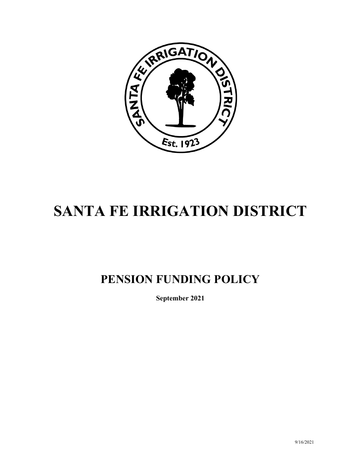

# **SANTA FE IRRIGATION DISTRICT**

# **PENSION FUNDING POLICY**

**September 2021**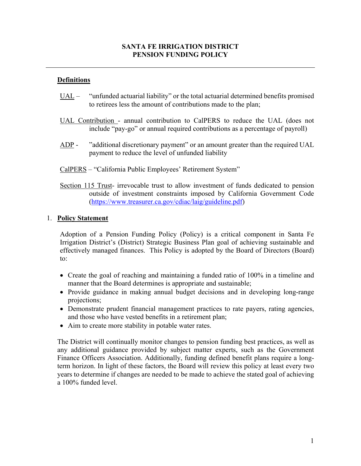#### **SANTA FE IRRIGATION DISTRICT PENSION FUNDING POLICY**

#### **Definitions**

- UAL "unfunded actuarial liability" or the total actuarial determined benefits promised to retirees less the amount of contributions made to the plan;
- UAL Contribution annual contribution to CalPERS to reduce the UAL (does not include "pay-go" or annual required contributions as a percentage of payroll)
- ADP "additional discretionary payment" or an amount greater than the required UAL payment to reduce the level of unfunded liability
- CalPERS "California Public Employees' Retirement System"
- Section 115 Trust- irrevocable trust to allow investment of funds dedicated to pension outside of investment constraints imposed by California Government Code (https://www.treasurer.ca.gov/cdiac/laig/guideline.pdf)

#### 1. **Policy Statement**

Adoption of a Pension Funding Policy (Policy) is a critical component in Santa Fe Irrigation District's (District) Strategic Business Plan goal of achieving sustainable and effectively managed finances. This Policy is adopted by the Board of Directors (Board) to:

- Create the goal of reaching and maintaining a funded ratio of 100% in a timeline and manner that the Board determines is appropriate and sustainable;
- Provide guidance in making annual budget decisions and in developing long-range projections;
- Demonstrate prudent financial management practices to rate payers, rating agencies, and those who have vested benefits in a retirement plan;
- Aim to create more stability in potable water rates.

The District will continually monitor changes to pension funding best practices, as well as any additional guidance provided by subject matter experts, such as the Government Finance Officers Association. Additionally, funding defined benefit plans require a longterm horizon. In light of these factors, the Board will review this policy at least every two years to determine if changes are needed to be made to achieve the stated goal of achieving a 100% funded level.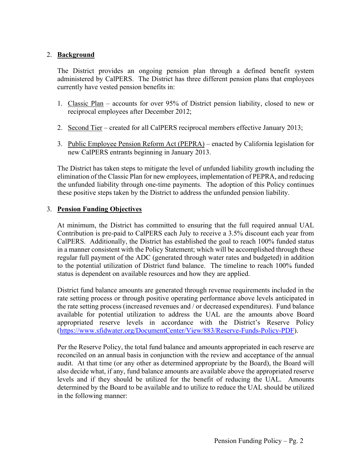### 2. **Background**

The District provides an ongoing pension plan through a defined benefit system administered by CalPERS. The District has three different pension plans that employees currently have vested pension benefits in:

- 1. Classic Plan accounts for over 95% of District pension liability, closed to new or reciprocal employees after December 2012;
- 2. Second Tier created for all CalPERS reciprocal members effective January 2013;
- 3. Public Employee Pension Reform Act (PEPRA) enacted by California legislation for new CalPERS entrants beginning in January 2013.

The District has taken steps to mitigate the level of unfunded liability growth including the elimination of the Classic Plan for new employees, implementation of PEPRA, and reducing the unfunded liability through one-time payments. The adoption of this Policy continues these positive steps taken by the District to address the unfunded pension liability.

#### 3. **Pension Funding Objectives**

At minimum, the District has committed to ensuring that the full required annual UAL Contribution is pre-paid to CalPERS each July to receive a 3.5% discount each year from CalPERS. Additionally, the District has established the goal to reach 100% funded status in a manner consistent with the Policy Statement; which will be accomplished through these regular full payment of the ADC (generated through water rates and budgeted) in addition to the potential utilization of District fund balance. The timeline to reach 100% funded status is dependent on available resources and how they are applied.

District fund balance amounts are generated through revenue requirements included in the rate setting process or through positive operating performance above levels anticipated in the rate setting process (increased revenues and / or decreased expenditures). Fund balance available for potential utilization to address the UAL are the amounts above Board appropriated reserve levels in accordance with the District's Reserve Policy (https://www.sfidwater.org/DocumentCenter/View/883/Reserve-Funds-Policy-PDF).

Per the Reserve Policy, the total fund balance and amounts appropriated in each reserve are reconciled on an annual basis in conjunction with the review and acceptance of the annual audit. At that time (or any other as determined appropriate by the Board), the Board will also decide what, if any, fund balance amounts are available above the appropriated reserve levels and if they should be utilized for the benefit of reducing the UAL. Amounts determined by the Board to be available and to utilize to reduce the UAL should be utilized in the following manner: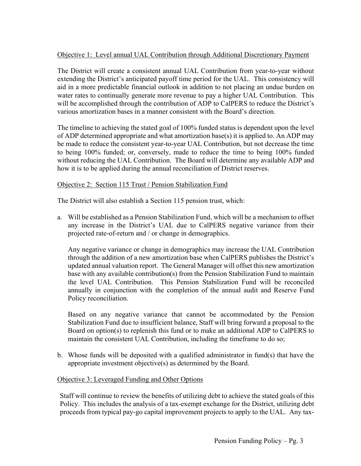## Objective 1: Level annual UAL Contribution through Additional Discretionary Payment

The District will create a consistent annual UAL Contribution from year-to-year without extending the District's anticipated payoff time period for the UAL. This consistency will aid in a more predictable financial outlook in addition to not placing an undue burden on water rates to continually generate more revenue to pay a higher UAL Contribution. This will be accomplished through the contribution of ADP to CalPERS to reduce the District's various amortization bases in a manner consistent with the Board's direction.

The timeline to achieving the stated goal of 100% funded status is dependent upon the level of ADP determined appropriate and what amortization base(s) it is applied to. An ADP may be made to reduce the consistent year-to-year UAL Contribution, but not decrease the time to being 100% funded; or, conversely, made to reduce the time to being 100% funded without reducing the UAL Contribution. The Board will determine any available ADP and how it is to be applied during the annual reconciliation of District reserves.

#### Objective 2: Section 115 Trust / Pension Stabilization Fund

The District will also establish a Section 115 pension trust, which:

a. Will be established as a Pension Stabilization Fund, which will be a mechanism to offset any increase in the District's UAL due to CalPERS negative variance from their projected rate-of-return and / or change in demographics.

Any negative variance or change in demographics may increase the UAL Contribution through the addition of a new amortization base when CalPERS publishes the District's updated annual valuation report. The General Manager will offset this new amortization base with any available contribution(s) from the Pension Stabilization Fund to maintain the level UAL Contribution. This Pension Stabilization Fund will be reconciled annually in conjunction with the completion of the annual audit and Reserve Fund Policy reconciliation.

Based on any negative variance that cannot be accommodated by the Pension Stabilization Fund due to insufficient balance, Staff will bring forward a proposal to the Board on option(s) to replenish this fund or to make an additional ADP to CalPERS to maintain the consistent UAL Contribution, including the timeframe to do so;

b. Whose funds will be deposited with a qualified administrator in fund(s) that have the appropriate investment objective(s) as determined by the Board.

#### Objective 3: Leveraged Funding and Other Options

Staff will continue to review the benefits of utilizing debt to achieve the stated goals of this Policy. This includes the analysis of a tax-exempt exchange for the District, utilizing debt proceeds from typical pay-go capital improvement projects to apply to the UAL. Any tax-